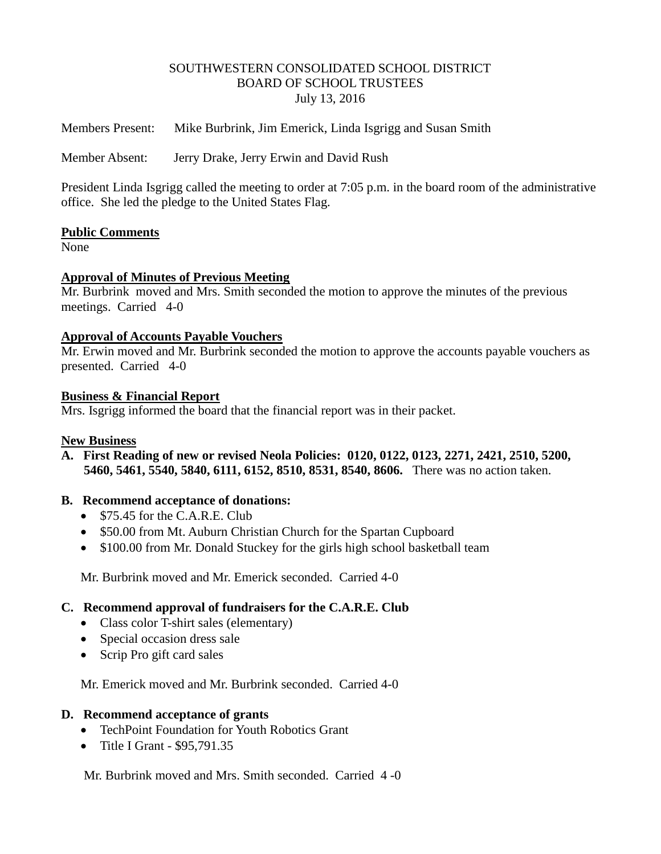### SOUTHWESTERN CONSOLIDATED SCHOOL DISTRICT BOARD OF SCHOOL TRUSTEES July 13, 2016

Members Present: Mike Burbrink, Jim Emerick, Linda Isgrigg and Susan Smith

Member Absent: Jerry Drake, Jerry Erwin and David Rush

President Linda Isgrigg called the meeting to order at 7:05 p.m. in the board room of the administrative office. She led the pledge to the United States Flag.

### **Public Comments**

None

### **Approval of Minutes of Previous Meeting**

Mr. Burbrink moved and Mrs. Smith seconded the motion to approve the minutes of the previous meetings. Carried 4-0

#### **Approval of Accounts Payable Vouchers**

Mr. Erwin moved and Mr. Burbrink seconded the motion to approve the accounts payable vouchers as presented. Carried 4-0

#### **Business & Financial Report**

Mrs. Isgrigg informed the board that the financial report was in their packet.

#### **New Business**

**A. First Reading of new or revised Neola Policies: 0120, 0122, 0123, 2271, 2421, 2510, 5200, 5460, 5461, 5540, 5840, 6111, 6152, 8510, 8531, 8540, 8606.** There was no action taken.

### **B. Recommend acceptance of donations:**

- \$75.45 for the C.A.R.E. Club
- \$50.00 from Mt. Auburn Christian Church for the Spartan Cupboard
- \$100.00 from Mr. Donald Stuckey for the girls high school basketball team

Mr. Burbrink moved and Mr. Emerick seconded. Carried 4-0

### **C. Recommend approval of fundraisers for the C.A.R.E. Club**

- Class color T-shirt sales (elementary)
- Special occasion dress sale
- Scrip Pro gift card sales

Mr. Emerick moved and Mr. Burbrink seconded. Carried 4-0

#### **D. Recommend acceptance of grants**

- TechPoint Foundation for Youth Robotics Grant
- Title I Grant \$95,791.35

Mr. Burbrink moved and Mrs. Smith seconded. Carried 4 -0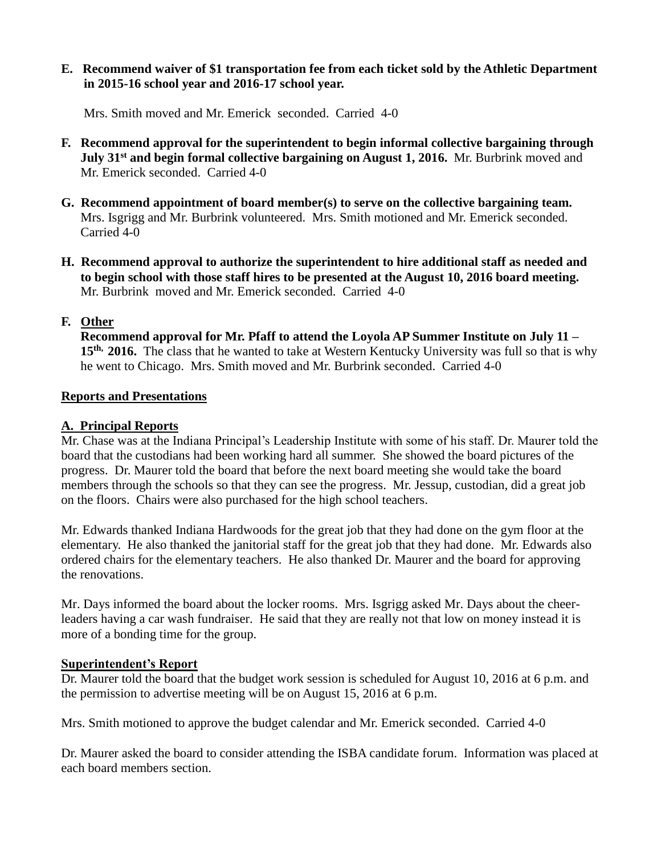**E. Recommend waiver of \$1 transportation fee from each ticket sold by the Athletic Department in 2015-16 school year and 2016-17 school year.**

Mrs. Smith moved and Mr. Emerick seconded. Carried 4-0

- **F. Recommend approval for the superintendent to begin informal collective bargaining through July 31st and begin formal collective bargaining on August 1, 2016.** Mr. Burbrink moved and Mr. Emerick seconded. Carried 4-0
- **G. Recommend appointment of board member(s) to serve on the collective bargaining team.** Mrs. Isgrigg and Mr. Burbrink volunteered. Mrs. Smith motioned and Mr. Emerick seconded. Carried 4-0
- **H. Recommend approval to authorize the superintendent to hire additional staff as needed and to begin school with those staff hires to be presented at the August 10, 2016 board meeting.** Mr. Burbrink moved and Mr. Emerick seconded. Carried 4-0

# **F. Other**

 **Recommend approval for Mr. Pfaff to attend the Loyola AP Summer Institute on July 11 – 15th, 2016.** The class that he wanted to take at Western Kentucky University was full so that is why he went to Chicago. Mrs. Smith moved and Mr. Burbrink seconded. Carried 4-0

# **Reports and Presentations**

## **A. Principal Reports**

Mr. Chase was at the Indiana Principal's Leadership Institute with some of his staff. Dr. Maurer told the board that the custodians had been working hard all summer. She showed the board pictures of the progress. Dr. Maurer told the board that before the next board meeting she would take the board members through the schools so that they can see the progress. Mr. Jessup, custodian, did a great job on the floors. Chairs were also purchased for the high school teachers.

Mr. Edwards thanked Indiana Hardwoods for the great job that they had done on the gym floor at the elementary. He also thanked the janitorial staff for the great job that they had done. Mr. Edwards also ordered chairs for the elementary teachers. He also thanked Dr. Maurer and the board for approving the renovations.

Mr. Days informed the board about the locker rooms. Mrs. Isgrigg asked Mr. Days about the cheerleaders having a car wash fundraiser. He said that they are really not that low on money instead it is more of a bonding time for the group.

# **Superintendent's Report**

Dr. Maurer told the board that the budget work session is scheduled for August 10, 2016 at 6 p.m. and the permission to advertise meeting will be on August 15, 2016 at 6 p.m.

Mrs. Smith motioned to approve the budget calendar and Mr. Emerick seconded. Carried 4-0

Dr. Maurer asked the board to consider attending the ISBA candidate forum. Information was placed at each board members section.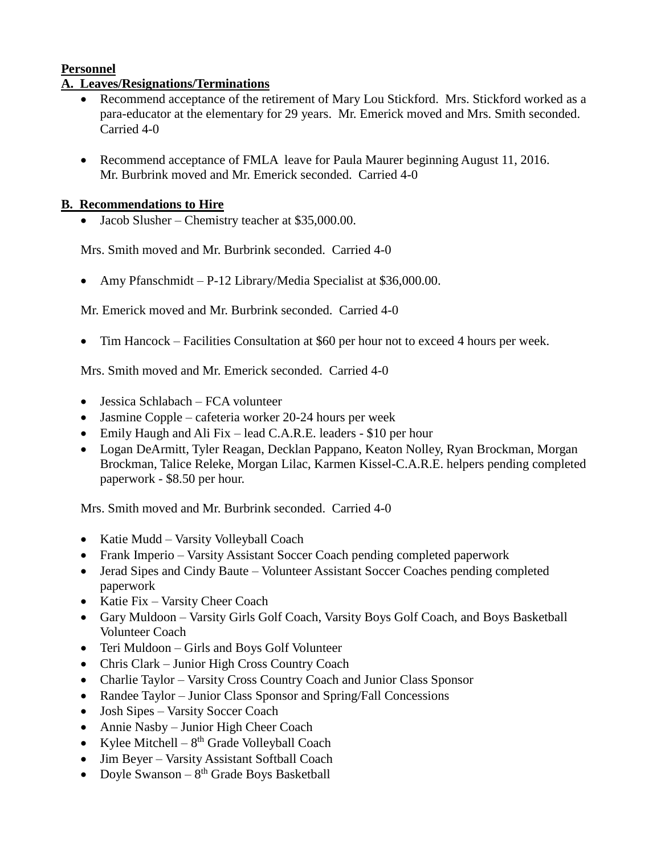# **Personnel**

# **A. Leaves/Resignations/Terminations**

- Recommend acceptance of the retirement of Mary Lou Stickford. Mrs. Stickford worked as a para-educator at the elementary for 29 years. Mr. Emerick moved and Mrs. Smith seconded. Carried 4-0
- Recommend acceptance of FMLA leave for Paula Maurer beginning August 11, 2016. Mr. Burbrink moved and Mr. Emerick seconded. Carried 4-0

## **B. Recommendations to Hire**

• Jacob Slusher – Chemistry teacher at \$35,000.00.

Mrs. Smith moved and Mr. Burbrink seconded. Carried 4-0

• Amy Pfanschmidt – P-12 Library/Media Specialist at \$36,000.00.

Mr. Emerick moved and Mr. Burbrink seconded. Carried 4-0

Tim Hancock – Facilities Consultation at \$60 per hour not to exceed 4 hours per week.

Mrs. Smith moved and Mr. Emerick seconded. Carried 4-0

- Jessica Schlabach FCA volunteer
- Jasmine Copple cafeteria worker 20-24 hours per week
- Emily Haugh and Ali Fix lead C.A.R.E. leaders \$10 per hour
- Logan DeArmitt, Tyler Reagan, Decklan Pappano, Keaton Nolley, Ryan Brockman, Morgan Brockman, Talice Releke, Morgan Lilac, Karmen Kissel-C.A.R.E. helpers pending completed paperwork - \$8.50 per hour.

Mrs. Smith moved and Mr. Burbrink seconded. Carried 4-0

- Katie Mudd Varsity Volleyball Coach
- Frank Imperio Varsity Assistant Soccer Coach pending completed paperwork
- Jerad Sipes and Cindy Baute Volunteer Assistant Soccer Coaches pending completed paperwork
- Katie Fix Varsity Cheer Coach
- Gary Muldoon Varsity Girls Golf Coach, Varsity Boys Golf Coach, and Boys Basketball Volunteer Coach
- Teri Muldoon Girls and Boys Golf Volunteer
- Chris Clark Junior High Cross Country Coach
- Charlie Taylor Varsity Cross Country Coach and Junior Class Sponsor
- Randee Taylor Junior Class Sponsor and Spring/Fall Concessions
- Josh Sipes Varsity Soccer Coach
- Annie Nasby Junior High Cheer Coach
- Kylee Mitchell  $8^{th}$  Grade Volleyball Coach
- Jim Beyer Varsity Assistant Softball Coach
- Doyle Swanson  $8<sup>th</sup>$  Grade Boys Basketball